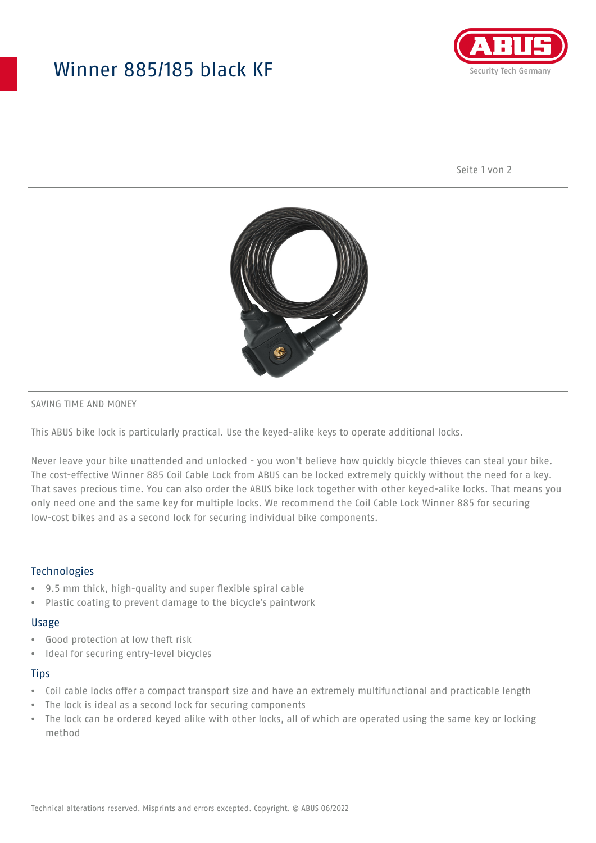## Winner 885/185 black KF



Seite 1 von 2



## SAVING TIME AND MONEY

This ABUS bike lock is particularly practical. Use the keyed-alike keys to operate additional locks.

Never leave your bike unattended and unlocked - you won't believe how quickly bicycle thieves can steal your bike. The cost-effective Winner 885 Coil Cable Lock from ABUS can be locked extremely quickly without the need for a key. That saves precious time. You can also order the ABUS bike lock together with other keyed-alike locks. That means you only need one and the same key for multiple locks. We recommend the Coil Cable Lock Winner 885 for securing low-cost bikes and as a second lock for securing individual bike components.

## Technologies

- 9.5 mm thick, high-quality and super flexible spiral cable
- Plastic coating to prevent damage to the bicycle's paintwork

#### Usage

- Good protection at low theft risk
- Ideal for securing entry-level bicycles

## **Tips**

- Coil cable locks offer a compact transport size and have an extremely multifunctional and practicable length
- The lock is ideal as a second lock for securing components
- The lock can be ordered keyed alike with other locks, all of which are operated using the same key or locking method